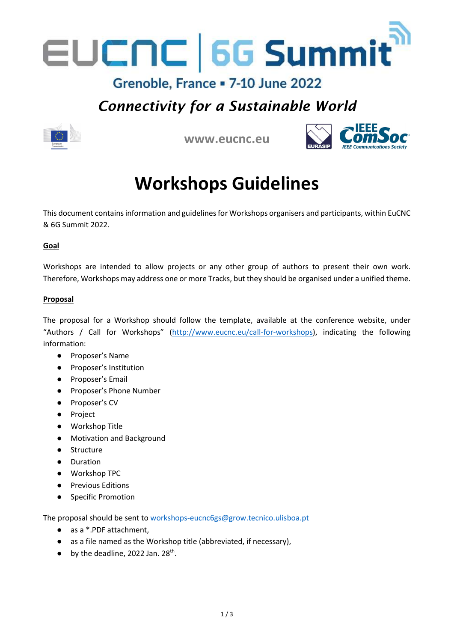

### Grenoble, France = 7-10 June 2022

## Connectivity for a Sustainable World



www.eucnc.eu



# Workshops Guidelines

This document contains information and guidelines for Workshops organisers and participants, within EuCNC & 6G Summit 2022.

#### Goal

Workshops are intended to allow projects or any other group of authors to present their own work. Therefore, Workshops may address one or more Tracks, but they should be organised under a unified theme.

#### Proposal

The proposal for a Workshop should follow the template, available at the conference website, under "Authors / Call for Workshops" (http://www.eucnc.eu/call-for-workshops), indicating the following information:

- Proposer's Name
- Proposer's Institution
- Proposer's Email
- Proposer's Phone Number
- Proposer's CV
- Project
- Workshop Title
- Motivation and Background
- Structure
- Duration
- Workshop TPC
- Previous Editions
- Specific Promotion

The proposal should be sent to workshops-eucnc6gs@grow.tecnico.ulisboa.pt

- as a \*.PDF attachment.
- as a file named as the Workshop title (abbreviated, if necessary),
- $\bullet$  by the deadline, 2022 Jan. 28<sup>th</sup>.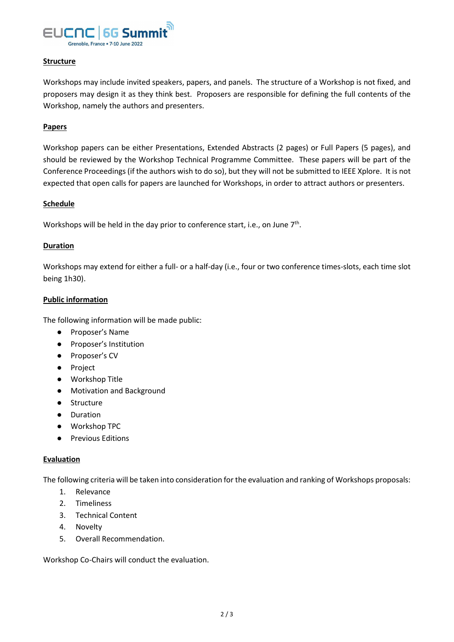

#### Structure

Workshops may include invited speakers, papers, and panels. The structure of a Workshop is not fixed, and proposers may design it as they think best. Proposers are responsible for defining the full contents of the Workshop, namely the authors and presenters.

#### **Papers**

Workshop papers can be either Presentations, Extended Abstracts (2 pages) or Full Papers (5 pages), and should be reviewed by the Workshop Technical Programme Committee. These papers will be part of the Conference Proceedings (if the authors wish to do so), but they will not be submitted to IEEE Xplore. It is not expected that open calls for papers are launched for Workshops, in order to attract authors or presenters.

#### **Schedule**

Workshops will be held in the day prior to conference start, i.e., on June 7<sup>th</sup>.

#### Duration

Workshops may extend for either a full- or a half-day (i.e., four or two conference times-slots, each time slot being 1h30).

#### Public information

The following information will be made public:

- Proposer's Name
- Proposer's Institution
- Proposer's CV
- Project
- Workshop Title
- Motivation and Background
- Structure
- Duration
- Workshop TPC
- Previous Editions

#### Evaluation

The following criteria will be taken into consideration for the evaluation and ranking of Workshops proposals:

- 1. Relevance
- 2. Timeliness
- 3. Technical Content
- 4. Novelty
- 5. Overall Recommendation.

Workshop Co-Chairs will conduct the evaluation.